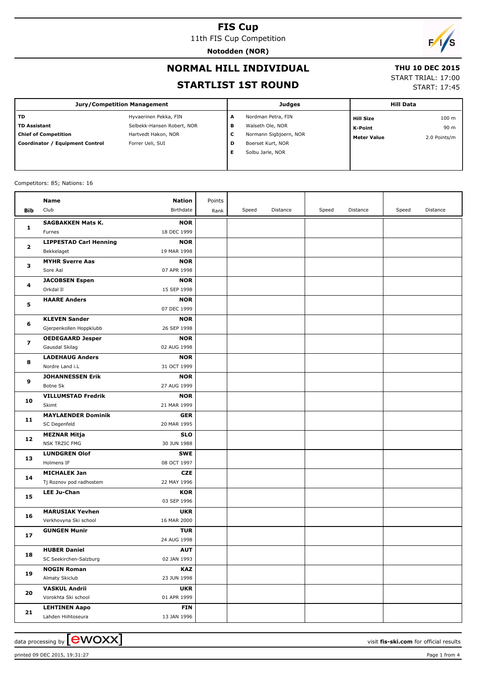11th FIS Cup Competition

**Notodden (NOR)**

# $\sqrt{2}$

#### **NORMAL HILL INDIVIDUAL**

### **THU 10 DEC 2015**

#### **STARTLIST 1ST ROUND**

START TRIAL: 17:00

START: 17:45

| <b>Jury/Competition Management</b> |                            |   | <b>Judges</b>          | <b>Hill Data</b>   |                  |
|------------------------------------|----------------------------|---|------------------------|--------------------|------------------|
| TD                                 | Hyvaerinen Pekka, FIN      | A | Nordman Petra, FIN     | <b>Hill Size</b>   | 100 <sub>m</sub> |
| <b>TD Assistant</b>                | Selbekk-Hansen Robert, NOR | в | Walseth Ole, NOR       | K-Point            | 90 m             |
| <b>Chief of Competition</b>        | Hartvedt Hakon, NOR        | с | Normann Sigbjoern, NOR | <b>Meter Value</b> | 2.0 Points/m     |
| Coordinator / Equipment Control    | Forrer Ueli, SUI           | D | Boerset Kurt, NOR      |                    |                  |
|                                    |                            | Е | Solbu Jarle, NOR       |                    |                  |
|                                    |                            |   |                        |                    |                  |

#### Competitors: 85; Nations: 16

|              | Name<br><b>Nation</b>                                           | Points |       |          |       |          |       |          |
|--------------|-----------------------------------------------------------------|--------|-------|----------|-------|----------|-------|----------|
| Bib          | Club<br>Birthdate                                               | Rank   | Speed | Distance | Speed | Distance | Speed | Distance |
|              | <b>SAGBAKKEN Mats K.</b><br><b>NOR</b>                          |        |       |          |       |          |       |          |
| 1            | 18 DEC 1999<br>Furnes                                           |        |       |          |       |          |       |          |
| $\mathbf{2}$ | <b>LIPPESTAD Carl Henning</b><br><b>NOR</b>                     |        |       |          |       |          |       |          |
|              | Bekkelaget<br>19 MAR 1998                                       |        |       |          |       |          |       |          |
|              | <b>MYHR Sverre Aas</b><br><b>NOR</b>                            |        |       |          |       |          |       |          |
| з            | Sore Aal<br>07 APR 1998                                         |        |       |          |       |          |       |          |
| 4            | <b>JACOBSEN Espen</b><br><b>NOR</b>                             |        |       |          |       |          |       |          |
|              | Orkdal II<br>15 SEP 1998                                        |        |       |          |       |          |       |          |
| 5            | <b>HAARE Anders</b><br><b>NOR</b>                               |        |       |          |       |          |       |          |
|              | 07 DEC 1999                                                     |        |       |          |       |          |       |          |
| 6            | <b>KLEVEN Sander</b><br><b>NOR</b>                              |        |       |          |       |          |       |          |
|              | Gjerpenkollen Hoppklubb<br>26 SEP 1998                          |        |       |          |       |          |       |          |
| 7            | <b>NOR</b><br><b>OEDEGAARD Jesper</b>                           |        |       |          |       |          |       |          |
|              | Gausdal Skilag<br>02 AUG 1998                                   |        |       |          |       |          |       |          |
| 8            | <b>LADEHAUG Anders</b><br><b>NOR</b>                            |        |       |          |       |          |       |          |
|              | Nordre Land i.L<br>31 OCT 1999                                  |        |       |          |       |          |       |          |
| 9            | <b>JOHANNESSEN Erik</b><br><b>NOR</b>                           |        |       |          |       |          |       |          |
| 10           | Botne Sk<br>27 AUG 1999                                         |        |       |          |       |          |       |          |
|              | <b>VILLUMSTAD Fredrik</b><br><b>NOR</b><br>Skimt<br>21 MAR 1999 |        |       |          |       |          |       |          |
|              | <b>MAYLAENDER Dominik</b><br><b>GER</b>                         |        |       |          |       |          |       |          |
| 11           | SC Degenfeld<br>20 MAR 1995                                     |        |       |          |       |          |       |          |
|              | <b>MEZNAR Mitja</b><br><b>SLO</b>                               |        |       |          |       |          |       |          |
| 12           | <b>NSK TRZIC FMG</b><br>30 JUN 1988                             |        |       |          |       |          |       |          |
|              | <b>LUNDGREN Olof</b><br><b>SWE</b>                              |        |       |          |       |          |       |          |
| 13           | Holmens IF<br>08 OCT 1997                                       |        |       |          |       |          |       |          |
|              | <b>MICHALEK Jan</b><br><b>CZE</b>                               |        |       |          |       |          |       |          |
| 14           | Tj Roznov pod radhostem<br>22 MAY 1996                          |        |       |          |       |          |       |          |
|              | <b>LEE Ju-Chan</b><br><b>KOR</b>                                |        |       |          |       |          |       |          |
| 15           | 03 SEP 1996                                                     |        |       |          |       |          |       |          |
|              | <b>MARUSIAK Yevhen</b><br><b>UKR</b>                            |        |       |          |       |          |       |          |
| 16           | Verkhovyna Ski school<br>16 MAR 2000                            |        |       |          |       |          |       |          |
| 17           | <b>GUNGEN Munir</b><br><b>TUR</b>                               |        |       |          |       |          |       |          |
|              | 24 AUG 1998                                                     |        |       |          |       |          |       |          |
| 18           | <b>HUBER Daniel</b><br><b>AUT</b>                               |        |       |          |       |          |       |          |
|              | SC Seekirchen-Salzburg<br>02 JAN 1993                           |        |       |          |       |          |       |          |
| 19           | <b>NOGIN Roman</b><br>KAZ                                       |        |       |          |       |          |       |          |
|              | Almaty Skiclub<br>23 JUN 1998                                   |        |       |          |       |          |       |          |
| 20           | <b>VASKUL Andrii</b><br><b>UKR</b>                              |        |       |          |       |          |       |          |
|              | Vorokhta Ski school<br>01 APR 1999                              |        |       |          |       |          |       |          |
| 21           | <b>LEHTINEN Aapo</b><br><b>FIN</b>                              |        |       |          |       |          |       |          |
|              | Lahden Hiihtoseura<br>13 JAN 1996                               |        |       |          |       |          |       |          |

printed 09 DEC 2015, 19:31:27 Page 1 from 4

data processing by **CWOXX**  $\blacksquare$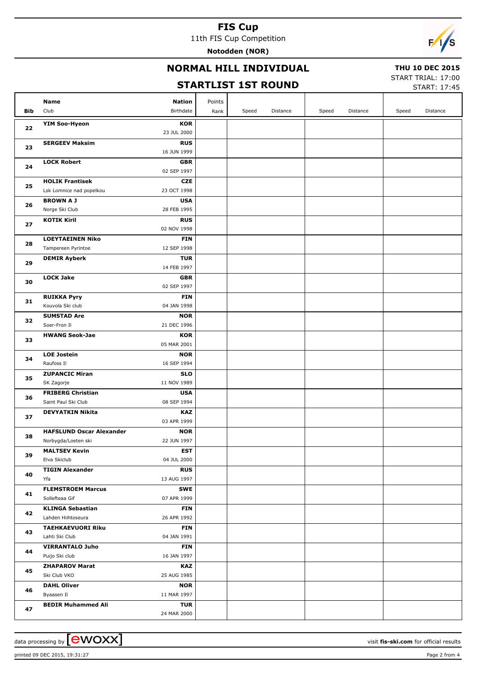11th FIS Cup Competition **Notodden (NOR)**



#### **NORMAL HILL INDIVIDUAL**

#### **THU 10 DEC 2015**

#### **STARTLIST 1ST ROUND**

START TRIAL: 17:00

START: 17:45

| Bib | Name<br><b>Nation</b><br>Club<br>Birthdate                                          | Points<br>Rank | Speed | Distance | Speed | Distance | Speed | Distance |
|-----|-------------------------------------------------------------------------------------|----------------|-------|----------|-------|----------|-------|----------|
| 22  | <b>YIM Soo-Hyeon</b><br><b>KOR</b><br>23 JUL 2000                                   |                |       |          |       |          |       |          |
| 23  | <b>SERGEEV Maksim</b><br><b>RUS</b><br>16 JUN 1999                                  |                |       |          |       |          |       |          |
| 24  | <b>LOCK Robert</b><br><b>GBR</b><br>02 SEP 1997                                     |                |       |          |       |          |       |          |
| 25  | <b>HOLIK Frantisek</b><br><b>CZE</b><br>Lsk Lomnice nad popelkou<br>23 OCT 1998     |                |       |          |       |          |       |          |
| 26  | <b>BROWN A J</b><br><b>USA</b><br>28 FEB 1995<br>Norge Ski Club                     |                |       |          |       |          |       |          |
| 27  | <b>KOTIK Kiril</b><br><b>RUS</b><br>02 NOV 1998                                     |                |       |          |       |          |       |          |
| 28  | <b>LOEYTAEINEN Niko</b><br><b>FIN</b><br>12 SEP 1998<br>Tampereen Pyrintoe          |                |       |          |       |          |       |          |
| 29  | <b>TUR</b><br><b>DEMIR Ayberk</b><br>14 FEB 1997                                    |                |       |          |       |          |       |          |
| 30  | <b>LOCK Jake</b><br><b>GBR</b><br>02 SEP 1997                                       |                |       |          |       |          |       |          |
| 31  | <b>RUIKKA Pyry</b><br><b>FIN</b><br>04 JAN 1998<br>Kouvola Ski club                 |                |       |          |       |          |       |          |
| 32  | <b>SUMSTAD Are</b><br><b>NOR</b><br>Soer-Fron Il<br>21 DEC 1996                     |                |       |          |       |          |       |          |
| 33  | <b>HWANG Seok-Jae</b><br>KOR<br>05 MAR 2001                                         |                |       |          |       |          |       |          |
| 34  | <b>LOE Jostein</b><br><b>NOR</b><br>Raufoss II<br>16 SEP 1994                       |                |       |          |       |          |       |          |
| 35  | <b>ZUPANCIC Miran</b><br><b>SLO</b><br>11 NOV 1989<br>SK Zagorje                    |                |       |          |       |          |       |          |
| 36  | <b>FRIBERG Christian</b><br><b>USA</b><br>08 SEP 1994<br>Saint Paul Ski Club        |                |       |          |       |          |       |          |
| 37  | <b>DEVYATKIN Nikita</b><br><b>KAZ</b><br>03 APR 1999                                |                |       |          |       |          |       |          |
| 38  | <b>HAFSLUND Oscar Alexander</b><br><b>NOR</b><br>22 JUN 1997<br>Norbygda/Loeten ski |                |       |          |       |          |       |          |
| 39  | <b>MALTSEV Kevin</b><br><b>EST</b><br>Elva Skiclub<br>04 JUL 2000                   |                |       |          |       |          |       |          |
| 40  | <b>TIGIN Alexander</b><br><b>RUS</b><br>Yfa<br>13 AUG 1997                          |                |       |          |       |          |       |          |
| 41  | <b>FLEMSTROEM Marcus</b><br><b>SWE</b><br>Sollefteaa Gif<br>07 APR 1999             |                |       |          |       |          |       |          |
| 42  | <b>KLINGA Sebastian</b><br><b>FIN</b><br>Lahden Hiihtoseura<br>26 APR 1992          |                |       |          |       |          |       |          |
| 43  | <b>TAEHKAEVUORI Riku</b><br><b>FIN</b><br>Lahti Ski Club<br>04 JAN 1991             |                |       |          |       |          |       |          |
| 44  | <b>VIRRANTALO Juho</b><br><b>FIN</b><br>Puijo Ski club<br>16 JAN 1997               |                |       |          |       |          |       |          |
| 45  | <b>ZHAPAROV Marat</b><br><b>KAZ</b><br>Ski Club VKO<br>25 AUG 1985                  |                |       |          |       |          |       |          |
| 46  | <b>DAHL Oliver</b><br><b>NOR</b><br>11 MAR 1997<br>Byaasen Il                       |                |       |          |       |          |       |          |
| 47  | <b>BEDIR Muhammed Ali</b><br><b>TUR</b><br>24 MAR 2000                              |                |       |          |       |          |       |          |

data processing by **CWOXX** and  $\overline{C}$  and  $\overline{C}$  and  $\overline{C}$  and  $\overline{C}$  and  $\overline{C}$  and  $\overline{C}$  and  $\overline{C}$  and  $\overline{C}$  and  $\overline{C}$  and  $\overline{C}$  and  $\overline{C}$  and  $\overline{C}$  and  $\overline{C}$  and  $\overline{C}$  and  $\overline{C}$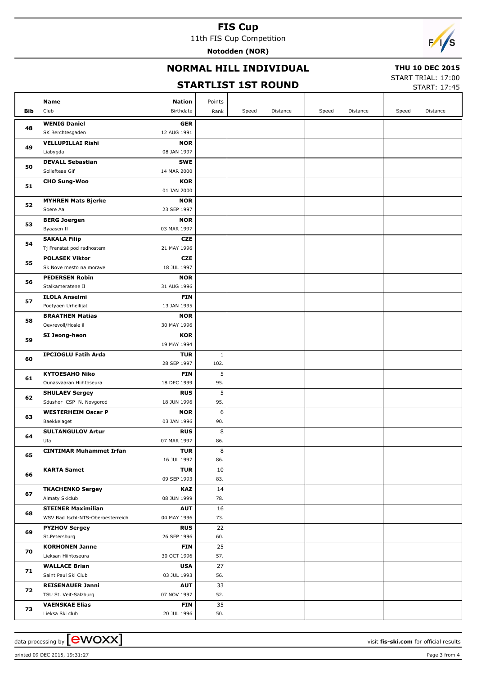11th FIS Cup Competition **Notodden (NOR)**



#### **NORMAL HILL INDIVIDUAL**

#### **THU 10 DEC 2015**

#### **STARTLIST 1ST ROUND**

START TRIAL: 17:00

START: 17:45

|     | Name                              | <b>Nation</b> | Points       |       |          |       |          |       |          |
|-----|-----------------------------------|---------------|--------------|-------|----------|-------|----------|-------|----------|
| Bib | Club                              | Birthdate     | Rank         | Speed | Distance | Speed | Distance | Speed | Distance |
|     |                                   |               |              |       |          |       |          |       |          |
| 48  | <b>WENIG Daniel</b>               | <b>GER</b>    |              |       |          |       |          |       |          |
|     | SK Berchtesgaden                  | 12 AUG 1991   |              |       |          |       |          |       |          |
| 49  | <b>VELLUPILLAI Rishi</b>          | <b>NOR</b>    |              |       |          |       |          |       |          |
|     | Liabygda                          | 08 JAN 1997   |              |       |          |       |          |       |          |
|     | <b>DEVALL Sebastian</b>           | <b>SWE</b>    |              |       |          |       |          |       |          |
| 50  | Sollefteaa Gif                    | 14 MAR 2000   |              |       |          |       |          |       |          |
|     | <b>CHO Sung-Woo</b>               | <b>KOR</b>    |              |       |          |       |          |       |          |
| 51  |                                   | 01 JAN 2000   |              |       |          |       |          |       |          |
| 52  | <b>MYHREN Mats Bjerke</b>         | <b>NOR</b>    |              |       |          |       |          |       |          |
|     | Soere Aal                         | 23 SEP 1997   |              |       |          |       |          |       |          |
| 53  | <b>BERG Joergen</b>               | <b>NOR</b>    |              |       |          |       |          |       |          |
|     |                                   | 03 MAR 1997   |              |       |          |       |          |       |          |
|     | Byaasen Il                        |               |              |       |          |       |          |       |          |
| 54  | <b>SAKALA Filip</b>               | CZE           |              |       |          |       |          |       |          |
|     | Tj Frenstat pod radhostem         | 21 MAY 1996   |              |       |          |       |          |       |          |
| 55  | <b>POLASEK Viktor</b>             | <b>CZE</b>    |              |       |          |       |          |       |          |
|     | Sk Nove mesto na morave           | 18 JUL 1997   |              |       |          |       |          |       |          |
| 56  | <b>PEDERSEN Robin</b>             | <b>NOR</b>    |              |       |          |       |          |       |          |
|     | Stalkameratene Il                 | 31 AUG 1996   |              |       |          |       |          |       |          |
| 57  | <b>ILOLA Anselmi</b>              | <b>FIN</b>    |              |       |          |       |          |       |          |
|     | Poetyaen Urheilijat               | 13 JAN 1995   |              |       |          |       |          |       |          |
|     | <b>BRAATHEN Matias</b>            | <b>NOR</b>    |              |       |          |       |          |       |          |
| 58  | Oevrevoll/Hosle il                | 30 MAY 1996   |              |       |          |       |          |       |          |
|     | SI Jeong-heon                     | <b>KOR</b>    |              |       |          |       |          |       |          |
| 59  |                                   | 19 MAY 1994   |              |       |          |       |          |       |          |
|     | <b>IPCIOGLU Fatih Arda</b>        | <b>TUR</b>    | $\mathbf{1}$ |       |          |       |          |       |          |
| 60  |                                   | 28 SEP 1997   | 102.         |       |          |       |          |       |          |
| 61  | <b>KYTOESAHO Niko</b>             | <b>FIN</b>    | 5            |       |          |       |          |       |          |
|     | Ounasvaaran Hiihtoseura           | 18 DEC 1999   | 95.          |       |          |       |          |       |          |
|     |                                   | <b>RUS</b>    | 5            |       |          |       |          |       |          |
| 62  | <b>SHULAEV Sergey</b>             |               | 95.          |       |          |       |          |       |          |
|     | Sdushor CSP N. Novgorod           | 18 JUN 1996   |              |       |          |       |          |       |          |
| 63  | <b>WESTERHEIM Oscar P</b>         | <b>NOR</b>    | 6            |       |          |       |          |       |          |
|     | Baekkelaget                       | 03 JAN 1996   | 90.          |       |          |       |          |       |          |
| 64  | <b>SULTANGULOV Artur</b>          | <b>RUS</b>    | 8            |       |          |       |          |       |          |
|     | Ufa                               | 07 MAR 1997   | 86.          |       |          |       |          |       |          |
| 65  | <b>CINTIMAR Muhammet Irfan</b>    | <b>TUR</b>    | 8            |       |          |       |          |       |          |
|     |                                   | 16 JUL 1997   | 86.          |       |          |       |          |       |          |
| 66  | <b>KARTA Samet</b>                | <b>TUR</b>    | 10           |       |          |       |          |       |          |
|     |                                   | 09 SEP 1993   | 83.          |       |          |       |          |       |          |
|     | <b>TKACHENKO Sergey</b>           | <b>KAZ</b>    | 14           |       |          |       |          |       |          |
| 67  | Almaty Skiclub                    | 08 JUN 1999   | 78.          |       |          |       |          |       |          |
|     | <b>STEINER Maximilian</b>         | <b>AUT</b>    | 16           |       |          |       |          |       |          |
| 68  | WSV Bad Ischl-NTS-Oberoesterreich | 04 MAY 1996   | 73.          |       |          |       |          |       |          |
|     | <b>PYZHOV Sergey</b>              | <b>RUS</b>    | 22           |       |          |       |          |       |          |
| 69  | St.Petersburg                     | 26 SEP 1996   | 60.          |       |          |       |          |       |          |
|     | <b>KORHONEN Janne</b>             | <b>FIN</b>    | 25           |       |          |       |          |       |          |
| 70  | Lieksan Hiihtoseura               | 30 OCT 1996   | 57.          |       |          |       |          |       |          |
|     |                                   |               |              |       |          |       |          |       |          |
| 71  | <b>WALLACE Brian</b>              | <b>USA</b>    | 27           |       |          |       |          |       |          |
|     | Saint Paul Ski Club               | 03 JUL 1993   | 56.          |       |          |       |          |       |          |
| 72  | <b>REISENAUER Janni</b>           | <b>AUT</b>    | 33           |       |          |       |          |       |          |
|     | TSU St. Veit-Salzburg             | 07 NOV 1997   | 52.          |       |          |       |          |       |          |
| 73  | <b>VAENSKAE Elias</b>             | <b>FIN</b>    | 35           |       |          |       |          |       |          |
|     | Lieksa Ski club                   | 20 JUL 1996   | 50.          |       |          |       |          |       |          |

printed 09 DEC 2015, 19:31:27 Page 3 from 4